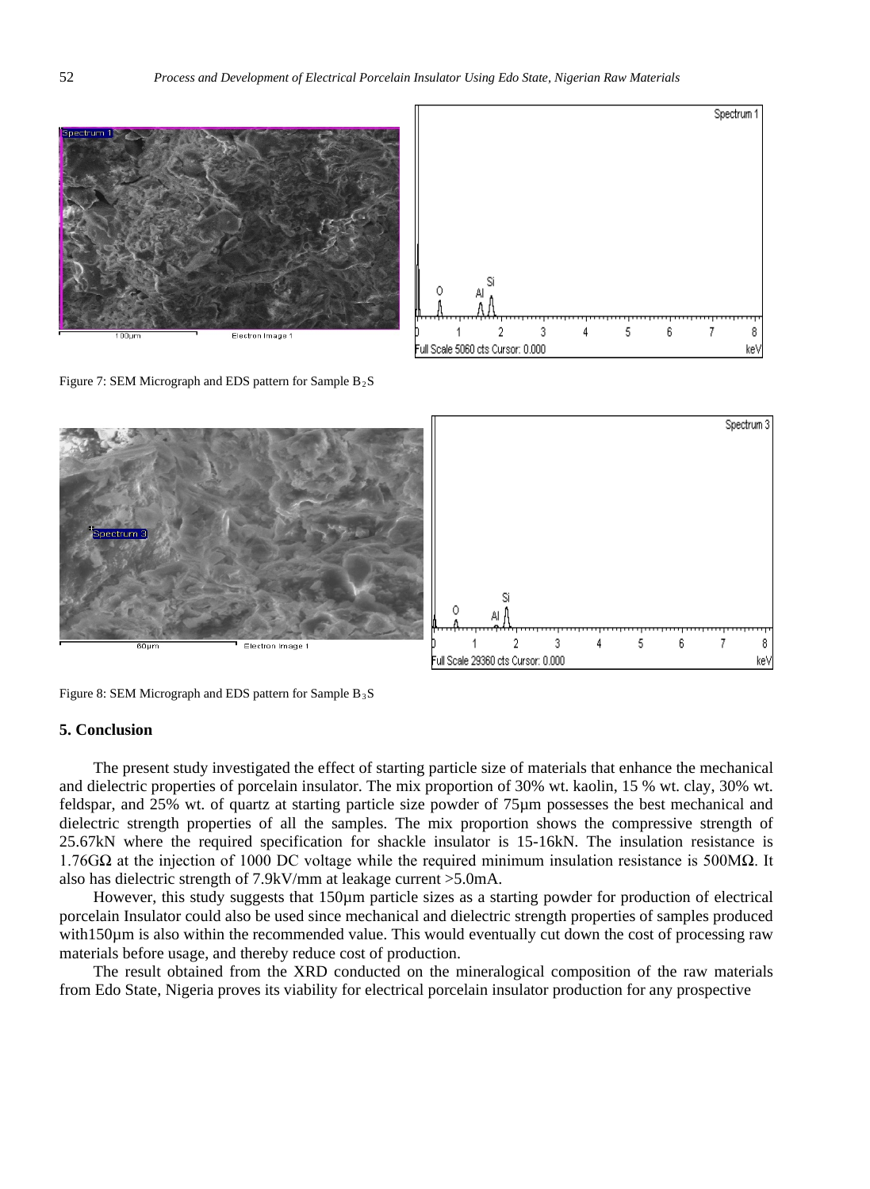

Figure : SEM Migraph and EDS pattern for Sample  $B_2S$ 



Figure : SEM Migraph and EDS pattern for Sample  $B_3S$ 

## **5. Conclusion**

The present study investigated the effect of starting particle size of materials that enhance the mechanical and dielectric properties of porcelain insulator. The mix proportion of 30% wt. kaolin, 15 % wt. clay, 30% wt. feldspar, and 25% wt. of quartz at starting particle size powder of 75µm possesses the best mechanical and dielectric strength properties of all the samples. The mix proportion shows the compressive strength of 25.67kN where the required specification for shackle insulator is 15-16kN. The insulation resistance is 1.76GΩ at the injection of 1000 DC voltage while the required minimum insulation resistance is 500MΩ. It also has dielectric strength of 7.9kV/mm at leakage current >5.0mA.

However, this study suggests that 150um particle sizes as a starting powder for production of electrical porcelain Insulator could also be used since mechanical and dielectric strength properties of samples produced with150 $\mu$ m is also within the recommended value. This would eventually cut down the cost of processing raw materials before usage, and thereby reduce cost of production.

The result obtained from the XRD conducted on the mineralogical composition of the raw materials from Edo State, Nigeria proves its viability for electrical porcelain insulator production for any prospective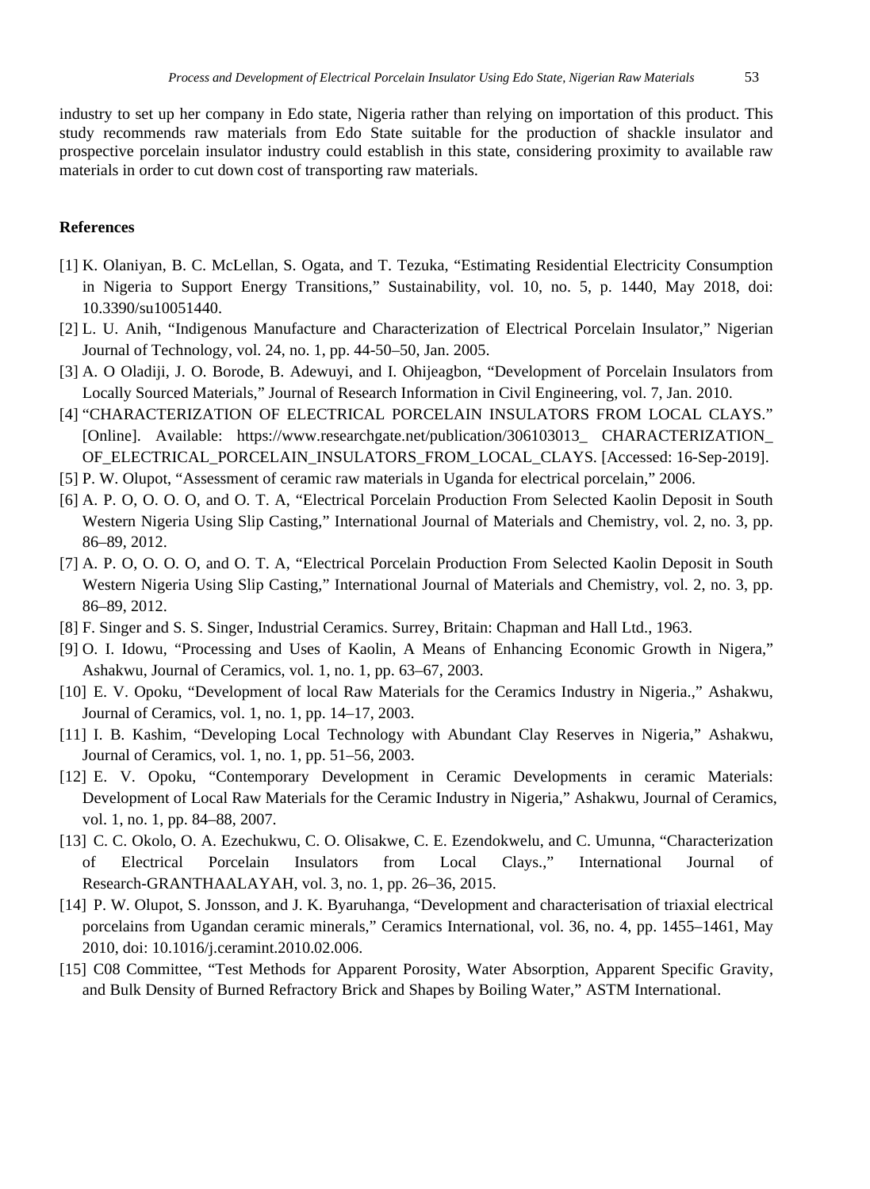industry to set up her company in Edo state, Nigeria rather than relying on importation of this product. This study recommends raw materials from Edo State suitable for the production of shackle insulator and prospective porcelain insulator industry could establish in this state, considering proximity to available raw materials in order to cut down cost of transporting raw materials.

## **References**

- [1] K. Olaniyan, B. C. McLellan, S. Ogata, and T. Tezuka, "Estimating Residential Electricity Consumption in Nigeria to Support Energy Transitions," Sustainability, vol. 10, no. 5, p. 1440, May 2018, doi: 10.3390/su10051440.
- [2] L. U. Anih, "Indigenous Manufacture and Characterization of Electrical Porcelain Insulator," Nigerian Journal of Technology, vol. 24, no. 1, pp. 44-50–50, Jan. 2005.
- [3] A. O Oladiji, J. O. Borode, B. Adewuyi, and I. Ohijeagbon, "Development of Porcelain Insulators from Locally Sourced Materials," Journal of Research Information in Civil Engineering, vol. 7, Jan. 2010.
- [4] "CHARACTERIZATION OF ELECTRICAL PORCELAIN INSULATORS FROM LOCAL CLAYS." [Online]. Available: https://www.researchgate.net/publication/306103013\_ CHARACTERIZATION\_ OF\_ELECTRICAL\_PORCELAIN\_INSULATORS\_FROM\_LOCAL\_CLAYS. [Accessed: 16-Sep-2019].
- [5] P. W. Olupot, "Assessment of ceramic raw materials in Uganda for electrical porcelain," 2006.
- [6] A. P. O, O. O. O, and O. T. A, "Electrical Porcelain Production From Selected Kaolin Deposit in South Western Nigeria Using Slip Casting," International Journal of Materials and Chemistry, vol. 2, no. 3, pp. 86–89, 2012.
- [7] A. P. O, O. O. O, and O. T. A, "Electrical Porcelain Production From Selected Kaolin Deposit in South Western Nigeria Using Slip Casting," International Journal of Materials and Chemistry, vol. 2, no. 3, pp. 86–89, 2012.
- [8] F. Singer and S. S. Singer, Industrial Ceramics. Surrey, Britain: Chapman and Hall Ltd., 1963.
- [9] O. I. Idowu, "Processing and Uses of Kaolin, A Means of Enhancing Economic Growth in Nigera," Ashakwu, Journal of Ceramics, vol. 1, no. 1, pp. 63–67, 2003.
- [10] E. V. Opoku, "Development of local Raw Materials for the Ceramics Industry in Nigeria.," Ashakwu, Journal of Ceramics, vol. 1, no. 1, pp. 14–17, 2003.
- [11] I. B. Kashim, "Developing Local Technology with Abundant Clay Reserves in Nigeria," Ashakwu, Journal of Ceramics, vol. 1, no. 1, pp. 51–56, 2003.
- [12] E. V. Opoku, "Contemporary Development in Ceramic Developments in ceramic Materials: Development of Local Raw Materials for the Ceramic Industry in Nigeria," Ashakwu, Journal of Ceramics, vol. 1, no. 1, pp. 84–88, 2007.
- [13] C. C. Okolo, O. A. Ezechukwu, C. O. Olisakwe, C. E. Ezendokwelu, and C. Umunna, "Characterization of Electrical Porcelain Insulators from Local Clays.," International Journal of Research-GRANTHAALAYAH, vol. 3, no. 1, pp. 26–36, 2015.
- [14] P. W. Olupot, S. Jonsson, and J. K. Byaruhanga, "Development and characterisation of triaxial electrical porcelains from Ugandan ceramic minerals," Ceramics International, vol. 36, no. 4, pp. 1455–1461, May 2010, doi: 10.1016/j.ceramint.2010.02.006.
- [15] C08 Committee, "Test Methods for Apparent Porosity, Water Absorption, Apparent Specific Gravity, and Bulk Density of Burned Refractory Brick and Shapes by Boiling Water," ASTM International.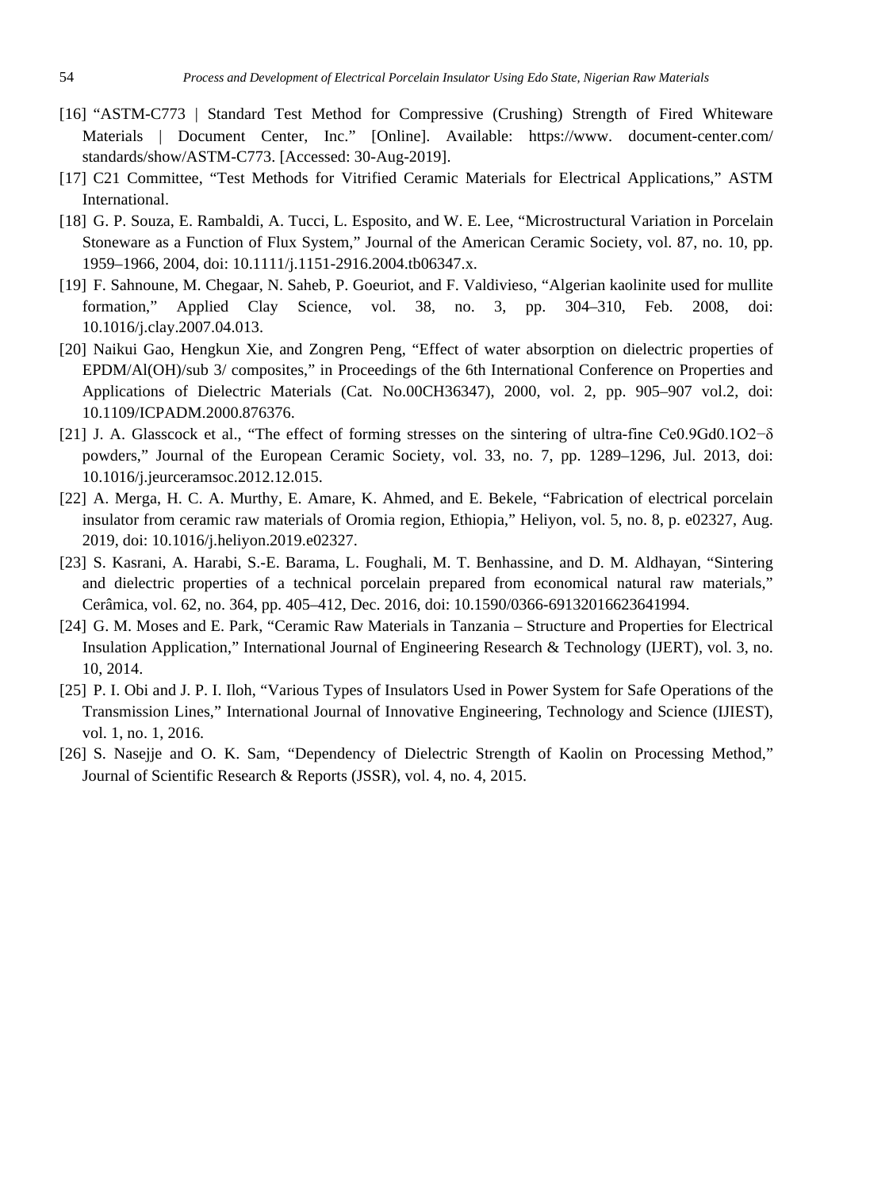- [16] "ASTM-C773 | Standard Test Method for Compressive (Crushing) Strength of Fired Whiteware Materials | Document Center, Inc." [Online]. Available: https://www. document-center.com/ standards/show/ASTM-C773. [Accessed: 30-Aug-2019].
- [17] C21 Committee, "Test Methods for Vitrified Ceramic Materials for Electrical Applications," ASTM International.
- [18] G. P. Souza, E. Rambaldi, A. Tucci, L. Esposito, and W. E. Lee, "Microstructural Variation in Porcelain Stoneware as a Function of Flux System," Journal of the American Ceramic Society, vol. 87, no. 10, pp. 1959–1966, 2004, doi: 10.1111/j.1151-2916.2004.tb06347.x.
- [19] F. Sahnoune, M. Chegaar, N. Saheb, P. Goeuriot, and F. Valdivieso, "Algerian kaolinite used for mullite formation," Applied Clay Science, vol. 38, no. 3, pp. 304–310, Feb. 2008, doi: 10.1016/j.clay.2007.04.013.
- [20] Naikui Gao, Hengkun Xie, and Zongren Peng, "Effect of water absorption on dielectric properties of EPDM/Al(OH)/sub 3/ composites," in Proceedings of the 6th International Conference on Properties and Applications of Dielectric Materials (Cat. No.00CH36347), 2000, vol. 2, pp. 905–907 vol.2, doi: 10.1109/ICPADM.2000.876376.
- [21] J. A. Glasscock et al., "The effect of forming stresses on the sintering of ultra-fine Ce0.9Gd0.1O2−δ powders," Journal of the European Ceramic Society, vol. 33, no. 7, pp. 1289–1296, Jul. 2013, doi: 10.1016/j.jeurceramsoc.2012.12.015.
- [22] A. Merga, H. C. A. Murthy, E. Amare, K. Ahmed, and E. Bekele, "Fabrication of electrical porcelain insulator from ceramic raw materials of Oromia region, Ethiopia," Heliyon, vol. 5, no. 8, p. e02327, Aug. 2019, doi: 10.1016/j.heliyon.2019.e02327.
- [23] S. Kasrani, A. Harabi, S.-E. Barama, L. Foughali, M. T. Benhassine, and D. M. Aldhayan, "Sintering and dielectric properties of a technical porcelain prepared from economical natural raw materials," Cerâmica, vol. 62, no. 364, pp. 405–412, Dec. 2016, doi: 10.1590/0366-69132016623641994.
- [24] G. M. Moses and E. Park, "Ceramic Raw Materials in Tanzania Structure and Properties for Electrical Insulation Application," International Journal of Engineering Research & Technology (IJERT), vol. 3, no. 10, 2014.
- [25] P. I. Obi and J. P. I. Iloh, "Various Types of Insulators Used in Power System for Safe Operations of the Transmission Lines," International Journal of Innovative Engineering, Technology and Science (IJIEST), vol. 1, no. 1, 2016.
- [26] S. Nasejje and O. K. Sam, "Dependency of Dielectric Strength of Kaolin on Processing Method," Journal of Scientific Research & Reports (JSSR), vol. 4, no. 4, 2015.